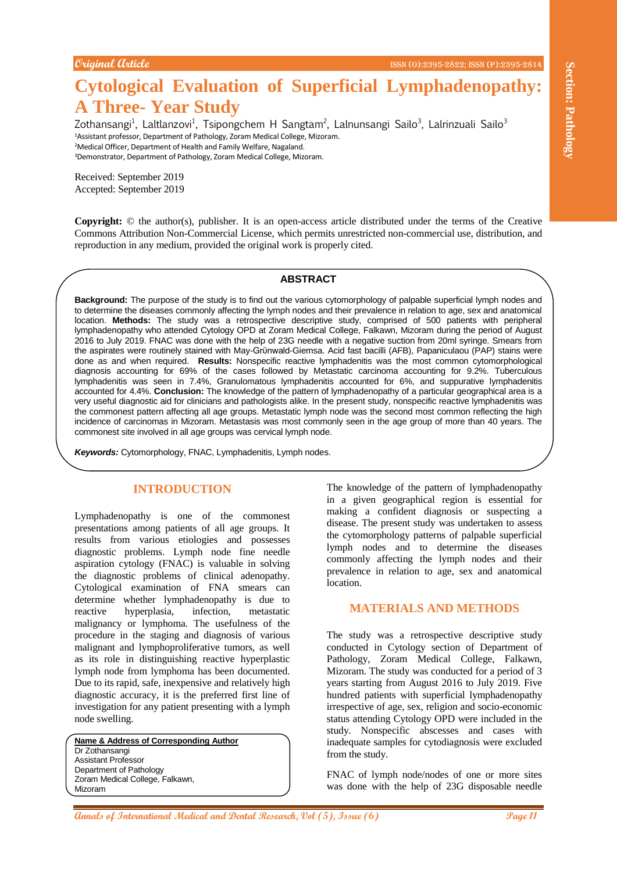# **Cytological Evaluation of Superficial Lymphadenopathy: A Three- Year Study**

Zothansangi<sup>1</sup>, Laltlanzovi<sup>1</sup>, Tsipongchem H Sangtam<sup>2</sup>, Lalnunsangi Sailo<sup>3</sup>, Lalrinzuali Sailo<sup>3</sup> Assistant professor, Department of Pathology, Zoram Medical College, Mizoram. Medical Officer, Department of Health and Family Welfare, Nagaland. Demonstrator, Department of Pathology, Zoram Medical College, Mizoram.

Received: September 2019 Accepted: September 2019

**Copyright:** © the author(s), publisher. It is an open-access article distributed under the terms of the Creative Commons Attribution Non-Commercial License, which permits unrestricted non-commercial use, distribution, and reproduction in any medium, provided the original work is properly cited.

#### **ABSTRACT**

**Analyzine the control of Super-Ficial Lymphadenopathy is a control of Annalyzine Control of Annalyzine Control of Annalyzine Control of Annalyzine Control of Annalyzine Control of Annalyzine Control of Annalyzine Control Background:** The purpose of the study is to find out the various cytomorphology of palpable superficial lymph nodes and to determine the diseases commonly affecting the lymph nodes and their prevalence in relation to age, sex and anatomical location. **Methods:** The study was a retrospective descriptive study, comprised of 500 patients with peripheral lymphadenopathy who attended Cytology OPD at Zoram Medical College, Falkawn, Mizoram during the period of August 2016 to July 2019. FNAC was done with the help of 23G needle with a negative suction from 20ml syringe. Smears from the aspirates were routinely stained with May-Grϋnwald-Giemsa. Acid fast bacilli (AFB), Papaniculaou (PAP) stains were done as and when required. **Results:** Nonspecific reactive lymphadenitis was the most common cytomorphological diagnosis accounting for 69% of the cases followed by Metastatic carcinoma accounting for 9.2%. Tuberculous lymphadenitis was seen in 7.4%, Granulomatous lymphadenitis accounted for 6%, and suppurative lymphadenitis accounted for 4.4%. **Conclusion:** The knowledge of the pattern of lymphadenopathy of a particular geographical area is a very useful diagnostic aid for clinicians and pathologists alike. In the present study, nonspecific reactive lymphadenitis was the commonest pattern affecting all age groups. Metastatic lymph node was the second most common reflecting the high incidence of carcinomas in Mizoram. Metastasis was most commonly seen in the age group of more than 40 years. The commonest site involved in all age groups was cervical lymph node.

*Keywords:* Cytomorphology, FNAC, Lymphadenitis, Lymph nodes.

# **INTRODUCTION**

Lymphadenopathy is one of the commonest presentations among patients of all age groups. It results from various etiologies and possesses diagnostic problems. Lymph node fine needle aspiration cytology (FNAC) is valuable in solving the diagnostic problems of clinical adenopathy. Cytological examination of FNA smears can determine whether lymphadenopathy is due to reactive hyperplasia, infection, metastatic malignancy or lymphoma. The usefulness of the procedure in the staging and diagnosis of various malignant and lymphoproliferative tumors, as well as its role in distinguishing reactive hyperplastic lymph node from lymphoma has been documented. Due to its rapid, safe, inexpensive and relatively high diagnostic accuracy, it is the preferred first line of investigation for any patient presenting with a lymph node swelling.

**Name & Address of Corresponding Author** Dr Zothansangi Assistant Professor Department of Pathology Zoram Medical College, Falkawn, Mizoram

The knowledge of the pattern of lymphadenopathy in a given geographical region is essential for making a confident diagnosis or suspecting a disease. The present study was undertaken to assess the cytomorphology patterns of palpable superficial lymph nodes and to determine the diseases commonly affecting the lymph nodes and their prevalence in relation to age, sex and anatomical location.

### **MATERIALS AND METHODS**

The study was a retrospective descriptive study conducted in Cytology section of Department of Pathology, Zoram Medical College, Falkawn, Mizoram. The study was conducted for a period of 3 years starting from August 2016 to July 2019. Five hundred patients with superficial lymphadenopathy irrespective of age, sex, religion and socio-economic status attending Cytology OPD were included in the study. Nonspecific abscesses and cases with inadequate samples for cytodiagnosis were excluded from the study.

FNAC of lymph node/nodes of one or more sites was done with the help of 23G disposable needle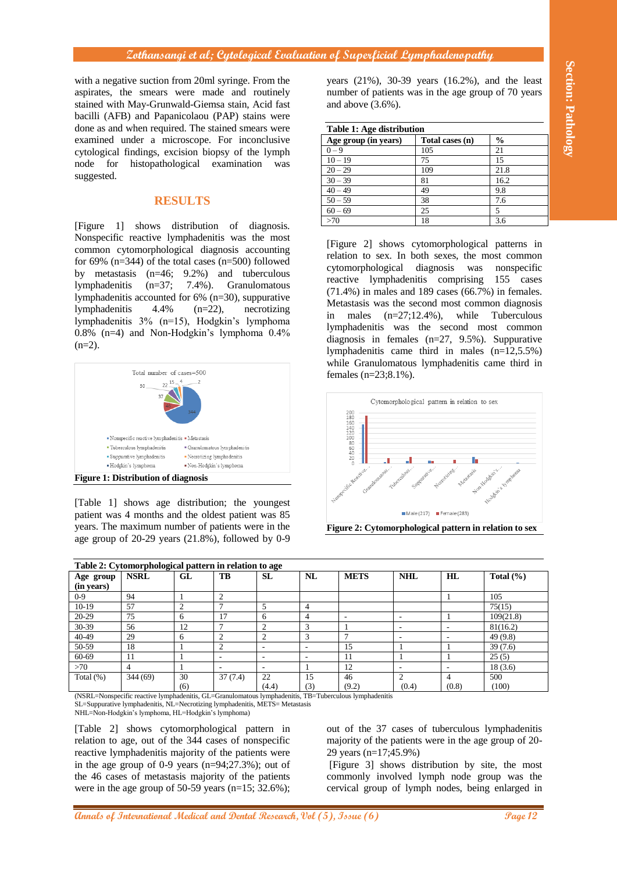# **Zothansangi et al; Cytological Evaluation of Superficial Lymphadenopathy**

# **RESULTS**



| Table 1: Age distribution |                 |               |  |  |  |  |
|---------------------------|-----------------|---------------|--|--|--|--|
| Age group (in years)      | Total cases (n) | $\frac{6}{9}$ |  |  |  |  |
| $0 - 9$                   | 105             | 21            |  |  |  |  |
| $10 - 19$                 | 75              | 15            |  |  |  |  |
| $20 - 29$                 | 109             | 21.8          |  |  |  |  |
| $30 - 39$                 | 81              | 16.2          |  |  |  |  |
| $40 - 49$                 | 49              | 9.8           |  |  |  |  |
| $50 - 59$                 | 38              | 7.6           |  |  |  |  |
| $60 - 69$                 | 25              | 5             |  |  |  |  |
| >70                       | 18              | 3.6           |  |  |  |  |



**Figure 2: Cytomorphological pattern in relation to sex**

| with a negative suction from 20ml syringe. From the<br>aspirates, the smears were made and routinely<br>stained with May-Grunwald-Giemsa stain, Acid fast<br>bacilli (AFB) and Papanicolaou (PAP) stains were<br>done as and when required. The stained smears were                                                                                                                                                                                                                                                                                                                                                                                                                                                                                                                                                                                                                                                                    |                                                                                                                                                                                                                                                                                                                               |                   |                     |                                                                                                                                                                                                                                                                                                                                                                                                                                                                                                                                                                                                                                                                                                                                                                                          | ection: Pathology<br>years $(21\%)$ , 30-39 years $(16.2\%)$ , and the least<br>number of patients was in the age group of 70 years<br>and above $(3.6\%)$ .<br>Table 1: Age distribution |                                                        |                                |                                  |                      |  |
|----------------------------------------------------------------------------------------------------------------------------------------------------------------------------------------------------------------------------------------------------------------------------------------------------------------------------------------------------------------------------------------------------------------------------------------------------------------------------------------------------------------------------------------------------------------------------------------------------------------------------------------------------------------------------------------------------------------------------------------------------------------------------------------------------------------------------------------------------------------------------------------------------------------------------------------|-------------------------------------------------------------------------------------------------------------------------------------------------------------------------------------------------------------------------------------------------------------------------------------------------------------------------------|-------------------|---------------------|------------------------------------------------------------------------------------------------------------------------------------------------------------------------------------------------------------------------------------------------------------------------------------------------------------------------------------------------------------------------------------------------------------------------------------------------------------------------------------------------------------------------------------------------------------------------------------------------------------------------------------------------------------------------------------------------------------------------------------------------------------------------------------------|-------------------------------------------------------------------------------------------------------------------------------------------------------------------------------------------|--------------------------------------------------------|--------------------------------|----------------------------------|----------------------|--|
|                                                                                                                                                                                                                                                                                                                                                                                                                                                                                                                                                                                                                                                                                                                                                                                                                                                                                                                                        | examined under a microscope. For inconclusive                                                                                                                                                                                                                                                                                 |                   |                     |                                                                                                                                                                                                                                                                                                                                                                                                                                                                                                                                                                                                                                                                                                                                                                                          |                                                                                                                                                                                           |                                                        |                                |                                  |                      |  |
|                                                                                                                                                                                                                                                                                                                                                                                                                                                                                                                                                                                                                                                                                                                                                                                                                                                                                                                                        |                                                                                                                                                                                                                                                                                                                               |                   |                     |                                                                                                                                                                                                                                                                                                                                                                                                                                                                                                                                                                                                                                                                                                                                                                                          |                                                                                                                                                                                           | Age group (in years)<br>$0 - 9$                        |                                | Total cases (n)                  | $\frac{0}{0}$<br>21  |  |
|                                                                                                                                                                                                                                                                                                                                                                                                                                                                                                                                                                                                                                                                                                                                                                                                                                                                                                                                        | cytological findings, excision biopsy of the lymph                                                                                                                                                                                                                                                                            |                   |                     |                                                                                                                                                                                                                                                                                                                                                                                                                                                                                                                                                                                                                                                                                                                                                                                          |                                                                                                                                                                                           | $10 - 19$                                              | 75                             | 105                              | 15                   |  |
| node for                                                                                                                                                                                                                                                                                                                                                                                                                                                                                                                                                                                                                                                                                                                                                                                                                                                                                                                               | histopathological examination                                                                                                                                                                                                                                                                                                 |                   |                     | was                                                                                                                                                                                                                                                                                                                                                                                                                                                                                                                                                                                                                                                                                                                                                                                      |                                                                                                                                                                                           |                                                        |                                |                                  |                      |  |
| suggested.                                                                                                                                                                                                                                                                                                                                                                                                                                                                                                                                                                                                                                                                                                                                                                                                                                                                                                                             |                                                                                                                                                                                                                                                                                                                               |                   |                     |                                                                                                                                                                                                                                                                                                                                                                                                                                                                                                                                                                                                                                                                                                                                                                                          |                                                                                                                                                                                           | $20 - 29$                                              |                                | 109                              | 21.8                 |  |
|                                                                                                                                                                                                                                                                                                                                                                                                                                                                                                                                                                                                                                                                                                                                                                                                                                                                                                                                        |                                                                                                                                                                                                                                                                                                                               |                   |                     |                                                                                                                                                                                                                                                                                                                                                                                                                                                                                                                                                                                                                                                                                                                                                                                          |                                                                                                                                                                                           | $30 - 39$                                              | 81                             |                                  | 16.2                 |  |
|                                                                                                                                                                                                                                                                                                                                                                                                                                                                                                                                                                                                                                                                                                                                                                                                                                                                                                                                        |                                                                                                                                                                                                                                                                                                                               |                   |                     |                                                                                                                                                                                                                                                                                                                                                                                                                                                                                                                                                                                                                                                                                                                                                                                          |                                                                                                                                                                                           | $40 - 49$                                              | 49                             |                                  | 9.8                  |  |
|                                                                                                                                                                                                                                                                                                                                                                                                                                                                                                                                                                                                                                                                                                                                                                                                                                                                                                                                        |                                                                                                                                                                                                                                                                                                                               | <b>RESULTS</b>    |                     |                                                                                                                                                                                                                                                                                                                                                                                                                                                                                                                                                                                                                                                                                                                                                                                          |                                                                                                                                                                                           | $50 - 59$                                              | 38                             |                                  | 7.6                  |  |
|                                                                                                                                                                                                                                                                                                                                                                                                                                                                                                                                                                                                                                                                                                                                                                                                                                                                                                                                        |                                                                                                                                                                                                                                                                                                                               |                   |                     |                                                                                                                                                                                                                                                                                                                                                                                                                                                                                                                                                                                                                                                                                                                                                                                          |                                                                                                                                                                                           | $60 - 69$<br>>70                                       | 25                             | 18                               | 5<br>3.6             |  |
| [Figure]<br>1]<br>shows distribution of diagnosis.<br>Nonspecific reactive lymphadenitis was the most<br>common cytomorphological diagnosis accounting<br>for 69% $(n=344)$ of the total cases $(n=500)$ followed<br>by metastasis $(n=46; 9.2%)$ and tuberculous<br>lymphadenitis<br>$(n=37)$ ;<br>7.4%). Granulomatous<br>lymphadenitis accounted for $6\%$ (n=30), suppurative<br>4.4%<br>lymphadenitis<br>$(n=22)$ ,<br>necrotizing<br>lymphadenitis 3% (n=15), Hodgkin's lymphoma<br>0.8% (n=4) and Non-Hodgkin's lymphoma 0.4%<br>$(n=2)$ .<br>Total number of cases=500<br>$22^{15}$<br>30<br>Nonspecific reactive lymphadenitis . Metastasis<br>" Tuberculous lymphadenitis<br>" Granulomatous lymphadenitis<br>· Suppurative lymphadenitis<br>" Necrotizing lymphadenitis<br>· Hodgkin's lymphoma<br>· Non-Hodgkin's lymphoma<br><b>Figure 1: Distribution of diagnosis</b><br>[Table 1] shows age distribution; the youngest |                                                                                                                                                                                                                                                                                                                               |                   |                     | [Figure 2] shows cytomorphological patterns in<br>relation to sex. In both sexes, the most common<br>cytomorphological<br>diagnosis<br>was<br>nonspecific<br>reactive lymphadenitis comprising 155 cases<br>$(71.4\%)$ in males and 189 cases $(66.7\%)$ in females.<br>Metastasis was the second most common diagnosis<br>in males $(n=27;12.4\%)$ ,<br>while<br>Tuberculous<br>lymphadenitis was the second most common<br>diagnosis in females $(n=27, 9.5\%)$ . Suppurative<br>lymphadenitis came third in males $(n=12,5.5\%)$<br>while Granulomatous lymphadenitis came third in<br>females $(n=23; 8.1\%)$ .<br>Cytomorphological pattern in relation to sex<br>$\begin{array}{r} 200 \\ 180 \\ 160 \\ 140 \\ 120 \\ 80 \\ 60 \\ 40 \\ 20 \\ 0 \end{array}$<br>Nonsective Regions |                                                                                                                                                                                           |                                                        |                                |                                  |                      |  |
|                                                                                                                                                                                                                                                                                                                                                                                                                                                                                                                                                                                                                                                                                                                                                                                                                                                                                                                                        | patient was 4 months and the oldest patient was 85<br>years. The maximum number of patients were in the                                                                                                                                                                                                                       |                   |                     |                                                                                                                                                                                                                                                                                                                                                                                                                                                                                                                                                                                                                                                                                                                                                                                          |                                                                                                                                                                                           | Figure 2: Cytomorphological pattern in relation to sex |                                | Male(217) Female(283)            |                      |  |
|                                                                                                                                                                                                                                                                                                                                                                                                                                                                                                                                                                                                                                                                                                                                                                                                                                                                                                                                        | age group of $20-29$ years $(21.8\%)$ , followed by 0-9                                                                                                                                                                                                                                                                       |                   |                     |                                                                                                                                                                                                                                                                                                                                                                                                                                                                                                                                                                                                                                                                                                                                                                                          |                                                                                                                                                                                           |                                                        |                                |                                  |                      |  |
|                                                                                                                                                                                                                                                                                                                                                                                                                                                                                                                                                                                                                                                                                                                                                                                                                                                                                                                                        | Table 2: Cytomorphological pattern in relation to age                                                                                                                                                                                                                                                                         |                   |                     |                                                                                                                                                                                                                                                                                                                                                                                                                                                                                                                                                                                                                                                                                                                                                                                          |                                                                                                                                                                                           |                                                        |                                |                                  |                      |  |
| Age group                                                                                                                                                                                                                                                                                                                                                                                                                                                                                                                                                                                                                                                                                                                                                                                                                                                                                                                              | <b>NSRL</b>                                                                                                                                                                                                                                                                                                                   | GL                | TВ                  | SL                                                                                                                                                                                                                                                                                                                                                                                                                                                                                                                                                                                                                                                                                                                                                                                       | NL                                                                                                                                                                                        | <b>METS</b>                                            | <b>NHL</b>                     | HL                               | Total $(\%)$         |  |
| (in years)                                                                                                                                                                                                                                                                                                                                                                                                                                                                                                                                                                                                                                                                                                                                                                                                                                                                                                                             |                                                                                                                                                                                                                                                                                                                               |                   |                     |                                                                                                                                                                                                                                                                                                                                                                                                                                                                                                                                                                                                                                                                                                                                                                                          |                                                                                                                                                                                           |                                                        |                                |                                  |                      |  |
| $0 - 9$                                                                                                                                                                                                                                                                                                                                                                                                                                                                                                                                                                                                                                                                                                                                                                                                                                                                                                                                | 94                                                                                                                                                                                                                                                                                                                            | 1                 | $\mathfrak{2}$      |                                                                                                                                                                                                                                                                                                                                                                                                                                                                                                                                                                                                                                                                                                                                                                                          |                                                                                                                                                                                           |                                                        |                                | 1                                | 105                  |  |
| $10-19$                                                                                                                                                                                                                                                                                                                                                                                                                                                                                                                                                                                                                                                                                                                                                                                                                                                                                                                                | 57                                                                                                                                                                                                                                                                                                                            | $\mathbf{2}$      | 7                   | 5                                                                                                                                                                                                                                                                                                                                                                                                                                                                                                                                                                                                                                                                                                                                                                                        | 4                                                                                                                                                                                         |                                                        |                                |                                  | 75(15)               |  |
| 20-29                                                                                                                                                                                                                                                                                                                                                                                                                                                                                                                                                                                                                                                                                                                                                                                                                                                                                                                                  | 75                                                                                                                                                                                                                                                                                                                            | 6                 | 17                  | 6                                                                                                                                                                                                                                                                                                                                                                                                                                                                                                                                                                                                                                                                                                                                                                                        | $\overline{4}$                                                                                                                                                                            | $\overline{\phantom{a}}$                               | $\overline{\phantom{a}}$       | 1                                | 109(21.8)            |  |
| 30-39<br>40-49                                                                                                                                                                                                                                                                                                                                                                                                                                                                                                                                                                                                                                                                                                                                                                                                                                                                                                                         | 56<br>29                                                                                                                                                                                                                                                                                                                      | 12<br>6           | 7<br>$\mathfrak{2}$ | $\boldsymbol{2}$<br>$\overline{2}$                                                                                                                                                                                                                                                                                                                                                                                                                                                                                                                                                                                                                                                                                                                                                       | 3<br>3                                                                                                                                                                                    | $\mathbf{1}$<br>7                                      | $\overline{\phantom{a}}$<br>L, | $\overline{a}$<br>$\overline{a}$ | 81(16.2)<br>49 (9.8) |  |
| $50 - 59$                                                                                                                                                                                                                                                                                                                                                                                                                                                                                                                                                                                                                                                                                                                                                                                                                                                                                                                              | 18                                                                                                                                                                                                                                                                                                                            |                   |                     | $\overline{a}$                                                                                                                                                                                                                                                                                                                                                                                                                                                                                                                                                                                                                                                                                                                                                                           |                                                                                                                                                                                           |                                                        |                                |                                  |                      |  |
| 60-69                                                                                                                                                                                                                                                                                                                                                                                                                                                                                                                                                                                                                                                                                                                                                                                                                                                                                                                                  | 11                                                                                                                                                                                                                                                                                                                            | 1<br>$\mathbf{1}$ | 2                   | $\overline{a}$                                                                                                                                                                                                                                                                                                                                                                                                                                                                                                                                                                                                                                                                                                                                                                           | L,                                                                                                                                                                                        | 15<br>11                                               | 1<br>1                         | 1<br>1                           | 39(7.6)<br>25(5)     |  |
|                                                                                                                                                                                                                                                                                                                                                                                                                                                                                                                                                                                                                                                                                                                                                                                                                                                                                                                                        |                                                                                                                                                                                                                                                                                                                               | 1                 |                     |                                                                                                                                                                                                                                                                                                                                                                                                                                                                                                                                                                                                                                                                                                                                                                                          | $\mathbf{1}$                                                                                                                                                                              | 12                                                     |                                |                                  |                      |  |
| >70                                                                                                                                                                                                                                                                                                                                                                                                                                                                                                                                                                                                                                                                                                                                                                                                                                                                                                                                    | $\overline{4}$                                                                                                                                                                                                                                                                                                                |                   |                     | $\overline{\phantom{a}}$                                                                                                                                                                                                                                                                                                                                                                                                                                                                                                                                                                                                                                                                                                                                                                 |                                                                                                                                                                                           |                                                        | $\overline{a}$                 | $\overline{\phantom{a}}$         | 18(3.6)              |  |
| Total (%)                                                                                                                                                                                                                                                                                                                                                                                                                                                                                                                                                                                                                                                                                                                                                                                                                                                                                                                              | 344 (69)                                                                                                                                                                                                                                                                                                                      | 30                | 37(7.4)             | 22                                                                                                                                                                                                                                                                                                                                                                                                                                                                                                                                                                                                                                                                                                                                                                                       | 15                                                                                                                                                                                        | 46                                                     | $\overline{c}$                 | $\overline{4}$                   | 500                  |  |
|                                                                                                                                                                                                                                                                                                                                                                                                                                                                                                                                                                                                                                                                                                                                                                                                                                                                                                                                        | (9.2)<br>(100)<br>(4.4)<br>(3)<br>(0.4)<br>(0.8)<br>(6)<br>(NSRL=Nonspecific reactive lymphadenitis, GL=Granulomatous lymphadenitis, TB=Tuberculous lymphadenitis<br>SL=Suppurative lymphadenitis, NL=Necrotizing lymphadenitis, METS= Metastasis<br>NHL=Non-Hodgkin's lymphoma, HL=Hodgkin's lymphoma)                       |                   |                     |                                                                                                                                                                                                                                                                                                                                                                                                                                                                                                                                                                                                                                                                                                                                                                                          |                                                                                                                                                                                           |                                                        |                                |                                  |                      |  |
|                                                                                                                                                                                                                                                                                                                                                                                                                                                                                                                                                                                                                                                                                                                                                                                                                                                                                                                                        | out of the 37 cases of tuberculous lymphadenitis<br>[Table 2] shows cytomorphological pattern in<br>relation to age, out of the 344 cases of nonspecific<br>majority of the patients were in the age group of 20-<br>reactive lymphadenitis majority of the patients were<br>29 years (n=17;45.9%)                            |                   |                     |                                                                                                                                                                                                                                                                                                                                                                                                                                                                                                                                                                                                                                                                                                                                                                                          |                                                                                                                                                                                           |                                                        |                                |                                  |                      |  |
|                                                                                                                                                                                                                                                                                                                                                                                                                                                                                                                                                                                                                                                                                                                                                                                                                                                                                                                                        | in the age group of 0-9 years ( $n=94;27.3%$ ); out of<br>[Figure 3] shows distribution by site, the most<br>the 46 cases of metastasis majority of the patients<br>commonly involved lymph node group was the<br>cervical group of lymph nodes, being enlarged in<br>were in the age group of 50-59 years ( $n=15$ ; 32.6%); |                   |                     |                                                                                                                                                                                                                                                                                                                                                                                                                                                                                                                                                                                                                                                                                                                                                                                          |                                                                                                                                                                                           |                                                        |                                |                                  |                      |  |
|                                                                                                                                                                                                                                                                                                                                                                                                                                                                                                                                                                                                                                                                                                                                                                                                                                                                                                                                        | <b>annals of International Medical and Dental Research, Vol (5), Issue (6)</b><br>Page 12                                                                                                                                                                                                                                     |                   |                     |                                                                                                                                                                                                                                                                                                                                                                                                                                                                                                                                                                                                                                                                                                                                                                                          |                                                                                                                                                                                           |                                                        |                                |                                  |                      |  |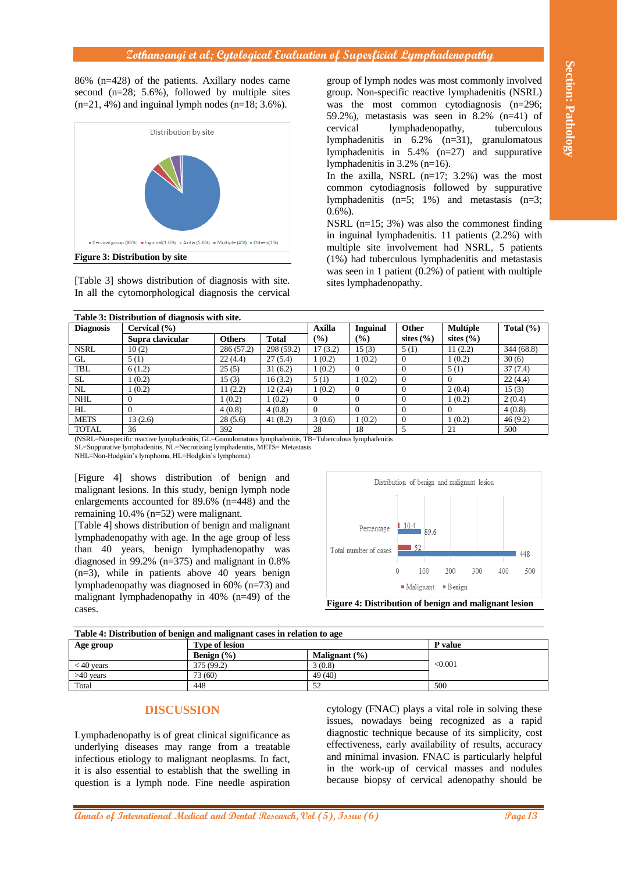#### **Zothansangi et al; Cytological Evaluation of Superficial Lymphadenopathy**



| 86% (n=428) of the patients. Axillary nodes came<br>second $(n=28; 5.6\%)$ , followed by multiple sites<br>$(n=21, 4\%)$ and inguinal lymph nodes $(n=18; 3.6\%).$<br>Distribution by site<br>Cervical group (86%) = Inguinal(3.6%) = Axilla (5.6%) = Multiple (4%) = Others(1%)<br><b>Figure 3: Distribution by site</b><br>[Table 3] shows distribution of diagnosis with site.<br>In all the cytomorphological diagnosis the cervical                                                                                                                                                                                                                                                                                      |                                                               |                                                                                                                                                                                                                                                                              |                  | group of lymph nodes was most commonly involved<br>group. Non-specific reactive lymphadenitis (NSRL)<br>was the most common cytodiagnosis (n=296;<br>59.2%), metastasis was seen in $8.2\%$ (n=41) of<br>cervical<br>lymphadenopathy,<br>tuberculous<br>lymphadenitis in $6.2\%$ $(n=31)$ , granulomatous<br>lymphadenitis in $5.4\%$ (n=27) and suppurative<br>lymphadenitis in $3.2\%$ (n=16).<br>In the axilla, NSRL $(n=17; 3.2%)$ was the most<br>common cytodiagnosis followed by suppurative<br>lymphadenitis $(n=5; 1\%)$ and metastasis $(n=3;$<br>$0.6\%$ ).<br>NSRL $(n=15; 3%)$ was also the commonest finding<br>in inguinal lymphadenitis. 11 patients (2.2%) with<br>multiple site involvement had NSRL, 5 patients<br>(1%) had tuberculous lymphadenitis and metastasis<br>was seen in 1 patient $(0.2%)$ of patient with multiple<br>sites lymphadenopathy. |                                     |                                                                                                          |                                                                                                                                             |                                                                                                                                                                                                                                                                                                                                                                                 |
|-------------------------------------------------------------------------------------------------------------------------------------------------------------------------------------------------------------------------------------------------------------------------------------------------------------------------------------------------------------------------------------------------------------------------------------------------------------------------------------------------------------------------------------------------------------------------------------------------------------------------------------------------------------------------------------------------------------------------------|---------------------------------------------------------------|------------------------------------------------------------------------------------------------------------------------------------------------------------------------------------------------------------------------------------------------------------------------------|------------------|------------------------------------------------------------------------------------------------------------------------------------------------------------------------------------------------------------------------------------------------------------------------------------------------------------------------------------------------------------------------------------------------------------------------------------------------------------------------------------------------------------------------------------------------------------------------------------------------------------------------------------------------------------------------------------------------------------------------------------------------------------------------------------------------------------------------------------------------------------------------------|-------------------------------------|----------------------------------------------------------------------------------------------------------|---------------------------------------------------------------------------------------------------------------------------------------------|---------------------------------------------------------------------------------------------------------------------------------------------------------------------------------------------------------------------------------------------------------------------------------------------------------------------------------------------------------------------------------|
| <b>Diagnosis</b>                                                                                                                                                                                                                                                                                                                                                                                                                                                                                                                                                                                                                                                                                                              | Table 3: Distribution of diagnosis with site.<br>Cervical (%) |                                                                                                                                                                                                                                                                              |                  | <b>Axilla</b>                                                                                                                                                                                                                                                                                                                                                                                                                                                                                                                                                                                                                                                                                                                                                                                                                                                                | <b>Inguinal</b>                     | Other                                                                                                    | <b>Multiple</b>                                                                                                                             | Total $(\% )$                                                                                                                                                                                                                                                                                                                                                                   |
|                                                                                                                                                                                                                                                                                                                                                                                                                                                                                                                                                                                                                                                                                                                               | Supra clavicular                                              | <b>Others</b>                                                                                                                                                                                                                                                                | <b>Total</b>     | (%)                                                                                                                                                                                                                                                                                                                                                                                                                                                                                                                                                                                                                                                                                                                                                                                                                                                                          | (%)                                 | sites $(\% )$                                                                                            | sites $(\% )$                                                                                                                               |                                                                                                                                                                                                                                                                                                                                                                                 |
| <b>NSRL</b>                                                                                                                                                                                                                                                                                                                                                                                                                                                                                                                                                                                                                                                                                                                   | 10(2)                                                         | 286 (57.2)                                                                                                                                                                                                                                                                   | 298 (59.2)       | 17(3.2)                                                                                                                                                                                                                                                                                                                                                                                                                                                                                                                                                                                                                                                                                                                                                                                                                                                                      | 15(3)                               | 5(1)                                                                                                     | 11(2.2)                                                                                                                                     | 344 (68.8)                                                                                                                                                                                                                                                                                                                                                                      |
| $\operatorname{GL}$                                                                                                                                                                                                                                                                                                                                                                                                                                                                                                                                                                                                                                                                                                           | 5(1)                                                          | 22(4.4)                                                                                                                                                                                                                                                                      | 27(5.4)          | 1(0.2)                                                                                                                                                                                                                                                                                                                                                                                                                                                                                                                                                                                                                                                                                                                                                                                                                                                                       | 1(0.2)                              | $\mathbf{0}$                                                                                             | 1(0.2)                                                                                                                                      | 30(6)                                                                                                                                                                                                                                                                                                                                                                           |
| $\ensuremath{\mathsf{TBL}}$                                                                                                                                                                                                                                                                                                                                                                                                                                                                                                                                                                                                                                                                                                   | 6(1.2)                                                        | 25(5)                                                                                                                                                                                                                                                                        | 31(6.2)          | 1(0.2)                                                                                                                                                                                                                                                                                                                                                                                                                                                                                                                                                                                                                                                                                                                                                                                                                                                                       | $\mathbf{0}$                        | $\overline{0}$                                                                                           | 5(1)                                                                                                                                        | $\overline{37(7.4)}$                                                                                                                                                                                                                                                                                                                                                            |
| $\overline{\text{SL}}$                                                                                                                                                                                                                                                                                                                                                                                                                                                                                                                                                                                                                                                                                                        | 1(0.2)                                                        | 15(3)                                                                                                                                                                                                                                                                        | 16(3.2)          | 5(1)                                                                                                                                                                                                                                                                                                                                                                                                                                                                                                                                                                                                                                                                                                                                                                                                                                                                         | 1(0.2)                              | $\mathbf{0}$                                                                                             | $\overline{0}$                                                                                                                              | 22(4.4)                                                                                                                                                                                                                                                                                                                                                                         |
| NL                                                                                                                                                                                                                                                                                                                                                                                                                                                                                                                                                                                                                                                                                                                            | 1(0.2)                                                        | 11(2.2)                                                                                                                                                                                                                                                                      | 12(2.4)          | 1(0.2)                                                                                                                                                                                                                                                                                                                                                                                                                                                                                                                                                                                                                                                                                                                                                                                                                                                                       | $\mathbf{0}$<br>$\mathbf{0}$        | $\overline{0}$                                                                                           | 2(0.4)                                                                                                                                      | 15(3)                                                                                                                                                                                                                                                                                                                                                                           |
| $\mathbf{NHL}$<br>HL                                                                                                                                                                                                                                                                                                                                                                                                                                                                                                                                                                                                                                                                                                          | $\overline{0}$<br>$\mathbf{0}$                                | 1(0.2)<br>4(0.8)                                                                                                                                                                                                                                                             | 1(0.2)<br>4(0.8) | $\mathbf{0}$<br>$\mathbf{0}$                                                                                                                                                                                                                                                                                                                                                                                                                                                                                                                                                                                                                                                                                                                                                                                                                                                 | $\boldsymbol{0}$                    | $\mathbf{0}$<br>$\overline{0}$                                                                           | 1(0.2)<br>$\overline{0}$                                                                                                                    | 2(0.4)<br>4(0.8)                                                                                                                                                                                                                                                                                                                                                                |
| <b>METS</b>                                                                                                                                                                                                                                                                                                                                                                                                                                                                                                                                                                                                                                                                                                                   | 13(2.6)                                                       | 28(5.6)                                                                                                                                                                                                                                                                      | 41(8.2)          | 3(0.6)                                                                                                                                                                                                                                                                                                                                                                                                                                                                                                                                                                                                                                                                                                                                                                                                                                                                       | 1(0.2)                              | $\mathbf{0}$                                                                                             | 1(0.2)                                                                                                                                      | 46(9.2)                                                                                                                                                                                                                                                                                                                                                                         |
| <b>TOTAL</b>                                                                                                                                                                                                                                                                                                                                                                                                                                                                                                                                                                                                                                                                                                                  | 36                                                            | 392                                                                                                                                                                                                                                                                          |                  | 28                                                                                                                                                                                                                                                                                                                                                                                                                                                                                                                                                                                                                                                                                                                                                                                                                                                                           | 18                                  | 5                                                                                                        | 21                                                                                                                                          | 500                                                                                                                                                                                                                                                                                                                                                                             |
| NHL=Non-Hodgkin's lymphoma, HL=Hodgkin's lymphoma)<br>[Figure 4] shows distribution of benign and<br>malignant lesions. In this study, benign lymph node<br>enlargements accounted for 89.6% (n=448) and the<br>remaining $10.4\%$ (n=52) were malignant.<br>[Table 4] shows distribution of benign and malignant<br>lymphadenopathy with age. In the age group of less<br>than 40 years, benign lymphadenopathy was<br>diagnosed in 99.2% ( $n=375$ ) and malignant in 0.8%<br>$(n=3)$ , while in patients above 40 years benign<br>lymphadenopathy was diagnosed in 60% (n=73) and<br>malignant lymphadenopathy in $40\%$ (n=49) of the<br>cases.<br>Table 4: Distribution of benign and malignant cases in relation to age |                                                               |                                                                                                                                                                                                                                                                              |                  |                                                                                                                                                                                                                                                                                                                                                                                                                                                                                                                                                                                                                                                                                                                                                                                                                                                                              | Percentage<br>Total number of cases | $\begin{array}{ c c }\n\hline\n10.4 & 89.6\n\end{array}$<br>$\blacksquare$ 52<br>100<br>0<br>■ Malignant | Distribution of benign and malignant lesion<br>200<br>300<br>$\blacksquare$ Benign<br>Figure 4: Distribution of benign and malignant lesion | 448<br>500<br>400                                                                                                                                                                                                                                                                                                                                                               |
| Age group                                                                                                                                                                                                                                                                                                                                                                                                                                                                                                                                                                                                                                                                                                                     |                                                               | <b>Type of lesion</b>                                                                                                                                                                                                                                                        |                  |                                                                                                                                                                                                                                                                                                                                                                                                                                                                                                                                                                                                                                                                                                                                                                                                                                                                              |                                     |                                                                                                          | P value                                                                                                                                     |                                                                                                                                                                                                                                                                                                                                                                                 |
|                                                                                                                                                                                                                                                                                                                                                                                                                                                                                                                                                                                                                                                                                                                               |                                                               | Benign (%)                                                                                                                                                                                                                                                                   |                  | Malignant (%)                                                                                                                                                                                                                                                                                                                                                                                                                                                                                                                                                                                                                                                                                                                                                                                                                                                                |                                     |                                                                                                          |                                                                                                                                             |                                                                                                                                                                                                                                                                                                                                                                                 |
| $< 40$ years                                                                                                                                                                                                                                                                                                                                                                                                                                                                                                                                                                                                                                                                                                                  |                                                               | 375 (99.2)                                                                                                                                                                                                                                                                   |                  | 3(0.8)                                                                                                                                                                                                                                                                                                                                                                                                                                                                                                                                                                                                                                                                                                                                                                                                                                                                       |                                     |                                                                                                          | < 0.001                                                                                                                                     |                                                                                                                                                                                                                                                                                                                                                                                 |
| $\overline{>40}$ years<br>Total                                                                                                                                                                                                                                                                                                                                                                                                                                                                                                                                                                                                                                                                                               |                                                               | 73 (60)<br>448                                                                                                                                                                                                                                                               |                  | 49 (40)<br>52                                                                                                                                                                                                                                                                                                                                                                                                                                                                                                                                                                                                                                                                                                                                                                                                                                                                |                                     | 500                                                                                                      |                                                                                                                                             |                                                                                                                                                                                                                                                                                                                                                                                 |
|                                                                                                                                                                                                                                                                                                                                                                                                                                                                                                                                                                                                                                                                                                                               | <b>DISCUSSION</b>                                             | Lymphadenopathy is of great clinical significance as<br>underlying diseases may range from a treatable<br>infectious etiology to malignant neoplasms. In fact,<br>it is also essential to establish that the swelling in<br>question is a lymph node. Fine needle aspiration |                  |                                                                                                                                                                                                                                                                                                                                                                                                                                                                                                                                                                                                                                                                                                                                                                                                                                                                              |                                     |                                                                                                          |                                                                                                                                             | cytology (FNAC) plays a vital role in solving these<br>issues, nowadays being recognized as a rapid<br>diagnostic technique because of its simplicity, cost<br>effectiveness, early availability of results, accuracy<br>and minimal invasion. FNAC is particularly helpful<br>in the work-up of cervical masses and nodules<br>because biopsy of cervical adenopathy should be |
|                                                                                                                                                                                                                                                                                                                                                                                                                                                                                                                                                                                                                                                                                                                               |                                                               | <b>annals of International Medical and Dental Research, Vol (5), Issue (6)</b>                                                                                                                                                                                               |                  |                                                                                                                                                                                                                                                                                                                                                                                                                                                                                                                                                                                                                                                                                                                                                                                                                                                                              |                                     |                                                                                                          |                                                                                                                                             | Page 13                                                                                                                                                                                                                                                                                                                                                                         |



**Figure 4: Distribution of benign and malignant lesion**

| Table 4: Distribution of benign and malignant cases in relation to age |                       |                   |         |  |  |  |
|------------------------------------------------------------------------|-----------------------|-------------------|---------|--|--|--|
| Age group                                                              | <b>Type of lesion</b> | <b>P</b> value    |         |  |  |  |
|                                                                        | Benign $(\% )$        | Malignant $(\% )$ |         |  |  |  |
| $<$ 40 vears                                                           | 375 (99.2)            | 3(0.8)            | < 0.001 |  |  |  |
| $>40$ vears                                                            | 73 (60)               | 49 (40)           |         |  |  |  |
| Total                                                                  | 448                   | 52                | 500     |  |  |  |

#### **DISCUSSION**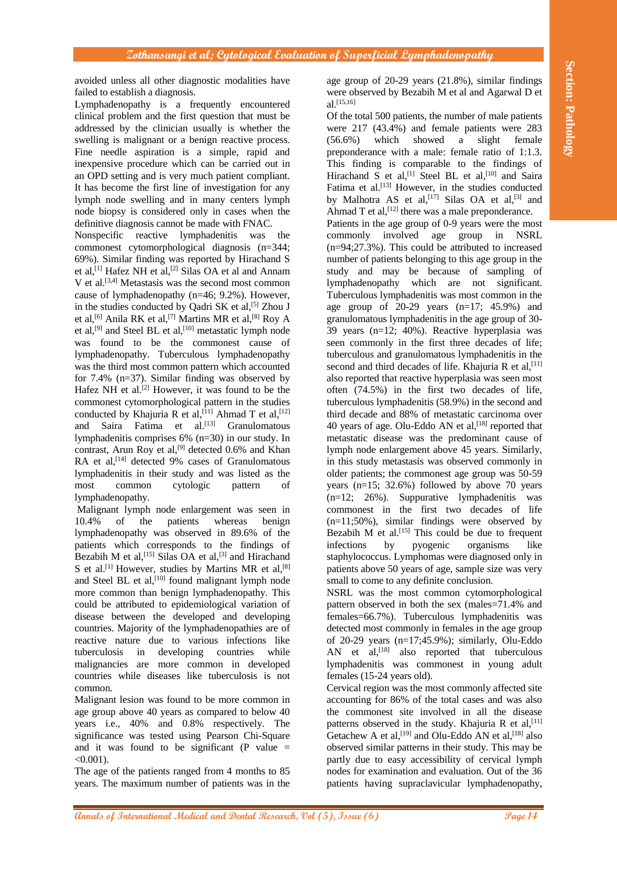avoided unless all other diagnostic modalities have failed to establish a diagnosis.

Lymphadenopathy is a frequently encountered clinical problem and the first question that must be addressed by the clinician usually is whether the swelling is malignant or a benign reactive process. Fine needle aspiration is a simple, rapid and inexpensive procedure which can be carried out in an OPD setting and is very much patient compliant. It has become the first line of investigation for any lymph node swelling and in many centers lymph node biopsy is considered only in cases when the definitive diagnosis cannot be made with FNAC.

Nonspecific reactive lymphadenitis was the commonest cytomorphological diagnosis (n=344; 69%). Similar finding was reported by Hirachand S et al,<sup>[1]</sup> Hafez NH et al,<sup>[2]</sup> Silas OA et al and Annam V et al. [3,4] Metastasis was the second most common cause of lymphadenopathy (n=46; 9.2%). However, in the studies conducted by Qadri SK et al,<sup>[5]</sup> Zhou J et al,<sup>[6]</sup> Anila RK et al,<sup>[7]</sup> Martins MR et al,<sup>[8]</sup> Roy A et al,<sup>[9]</sup> and Steel BL et al,<sup>[10]</sup> metastatic lymph node was found to be the commonest cause of lymphadenopathy. Tuberculous lymphadenopathy was the third most common pattern which accounted for 7.4% (n=37). Similar finding was observed by Hafez NH et al.<sup>[2]</sup> However, it was found to be the commonest cytomorphological pattern in the studies conducted by Khajuria R et al, [11] Ahmad T et al, [12] and Saira Fatima et al. [13] Granulomatous lymphadenitis comprises 6% (n=30) in our study. In contrast, Arun Roy et al,<sup>[9]</sup> detected  $0.6\%$  and Khan RA et al,<sup>[14]</sup> detected 9% cases of Granulomatous lymphadenitis in their study and was listed as the most common cytologic pattern of lymphadenopathy.

Malignant lymph node enlargement was seen in 10.4% of the patients whereas benign lymphadenopathy was observed in 89.6% of the patients which corresponds to the findings of Bezabih M et al, [15] Silas OA et al, [3] and Hirachand S et al.<sup>[1]</sup> However, studies by Martins MR et al,<sup>[8]</sup> and Steel BL et al,<sup>[10]</sup> found malignant lymph node more common than benign lymphadenopathy. This could be attributed to epidemiological variation of disease between the developed and developing countries. Majority of the lymphadenopathies are of reactive nature due to various infections like tuberculosis in developing countries while malignancies are more common in developed countries while diseases like tuberculosis is not common.

Malignant lesion was found to be more common in age group above 40 years as compared to below 40 years i.e., 40% and 0.8% respectively. The significance was tested using Pearson Chi-Square and it was found to be significant  $(P \text{ value } =$  $< 0.001$ ).

The age of the patients ranged from 4 months to 85 years. The maximum number of patients was in the

age group of 20-29 years (21.8%), similar findings were observed by Bezabih M et al and Agarwal D et al.<sup>[15,16]</sup>

**Annals and and Propositional Medical Annals of Annals of Annals of Annals of Annals Constructional Annals of Annals Constructional Annals of Annals Construction Construction Construction Construction Construction Constru** Of the total 500 patients, the number of male patients were 217 (43.4%) and female patients were 283 (56.6%) which showed a slight female preponderance with a male: female ratio of 1:1.3. This finding is comparable to the findings of Hirachand S et al,<sup>[1]</sup> Steel BL et al,<sup>[10]</sup> and Saira Fatima et al.<sup>[13]</sup> However, in the studies conducted by Malhotra AS et al,<sup>[17]</sup> Silas OA et al,<sup>[3]</sup> and Ahmad T et al,  $[12]$  there was a male preponderance. Patients in the age group of 0-9 years were the most commonly involved age group in NSRL (n=94;27.3%). This could be attributed to increased number of patients belonging to this age group in the study and may be because of sampling of lymphadenopathy which are not significant. Tuberculous lymphadenitis was most common in the age group of  $20-29$  years  $(n=17; 45.9%)$  and granulomatous lymphadenitis in the age group of 30- 39 years (n=12; 40%). Reactive hyperplasia was seen commonly in the first three decades of life; tuberculous and granulomatous lymphadenitis in the second and third decades of life. Khajuria R et al,  $[11]$ also reported that reactive hyperplasia was seen most often (74.5%) in the first two decades of life, tuberculous lymphadenitis (58.9%) in the second and third decade and 88% of metastatic carcinoma over 40 years of age. Olu-Eddo AN et al, [18] reported that metastatic disease was the predominant cause of lymph node enlargement above 45 years. Similarly, in this study metastasis was observed commonly in older patients; the commonest age group was 50-59 years  $(n=15; 32.6%)$  followed by above 70 years  $(n=12; 26%)$ . Suppurative lymphadenitis was commonest in the first two decades of life (n=11;50%), similar findings were observed by Bezabih  $M$  et al.<sup>[15]</sup> This could be due to frequent infections by pyogenic organisms like staphylococcus. Lymphomas were diagnosed only in patients above 50 years of age, sample size was very small to come to any definite conclusion.

NSRL was the most common cytomorphological pattern observed in both the sex (males=71.4% and females=66.7%). Tuberculous lymphadenitis was detected most commonly in females in the age group of 20-29 years (n=17;45.9%); similarly, Olu-Eddo AN et al,<sup>[18]</sup> also reported that tuberculous lymphadenitis was commonest in young adult females (15-24 years old).

Cervical region was the most commonly affected site accounting for 86% of the total cases and was also the commonest site involved in all the disease patterns observed in the study. Khajuria R et al, [11] Getachew A et al,  $^{[19]}$  and Olu-Eddo AN et al,  $^{[18]}$  also observed similar patterns in their study. This may be partly due to easy accessibility of cervical lymph nodes for examination and evaluation. Out of the 36 patients having supraclavicular lymphadenopathy,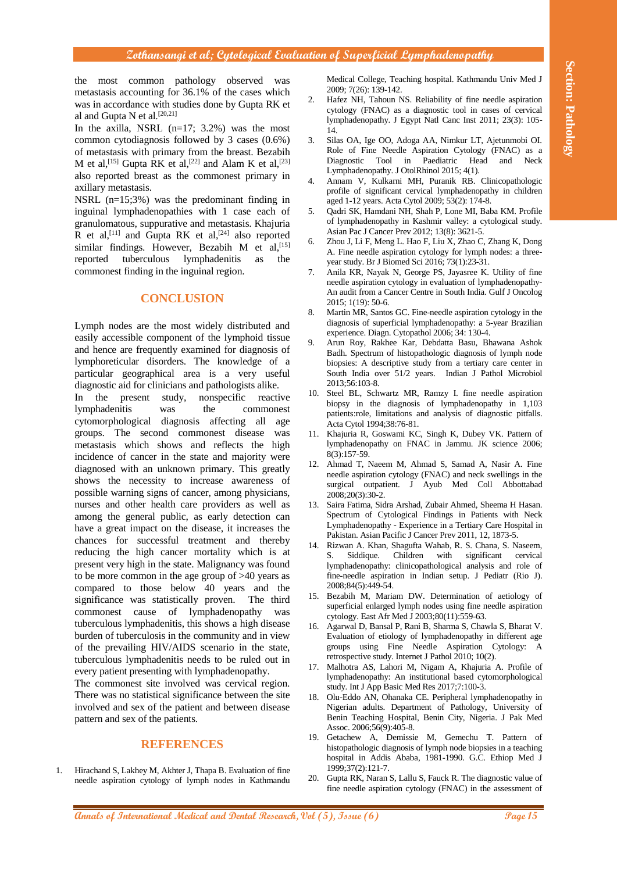#### **Zothansangi et al; Cytological Evaluation of Superficial Lymphadenopathy**

the most common pathology observed was metastasis accounting for 36.1% of the cases which was in accordance with studies done by Gupta RK et al and Gupta N et al.[20,21]

In the axilla, NSRL  $(n=17; 3.2%)$  was the most common cytodiagnosis followed by 3 cases (0.6%) of metastasis with primary from the breast. Bezabih M et al, [15] Gupta RK et al, [22] and Alam K et al, [23] also reported breast as the commonest primary in axillary metastasis.

NSRL (n=15;3%) was the predominant finding in inguinal lymphadenopathies with 1 case each of granulomatous, suppurative and metastasis. Khajuria R et al,<sup>[11]</sup> and Gupta RK et al,<sup>[24]</sup> also reported similar findings. However, Bezabih M et al, <a>[15]</a> reported tuberculous lymphadenitis as the commonest finding in the inguinal region.

### **CONCLUSION**

Lymph nodes are the most widely distributed and easily accessible component of the lymphoid tissue and hence are frequently examined for diagnosis of lymphoreticular disorders. The knowledge of a particular geographical area is a very useful diagnostic aid for clinicians and pathologists alike.

**An and anisotrophe control of the section with the section of the section of International Medical Annals of International Medical Annals of International Medical and The Section 1998 and 200 medical and the section of I** In the present study, nonspecific reactive lymphadenitis was the commonest cytomorphological diagnosis affecting all age groups. The second commonest disease was metastasis which shows and reflects the high incidence of cancer in the state and majority were diagnosed with an unknown primary. This greatly shows the necessity to increase awareness of possible warning signs of cancer, among physicians, nurses and other health care providers as well as among the general public, as early detection can have a great impact on the disease, it increases the chances for successful treatment and thereby reducing the high cancer mortality which is at present very high in the state. Malignancy was found to be more common in the age group of >40 years as compared to those below 40 years and the significance was statistically proven. The third commonest cause of lymphadenopathy was tuberculous lymphadenitis, this shows a high disease burden of tuberculosis in the community and in view of the prevailing HIV/AIDS scenario in the state, tuberculous lymphadenitis needs to be ruled out in every patient presenting with lymphadenopathy.

The commonest site involved was cervical region. There was no statistical significance between the site involved and sex of the patient and between disease pattern and sex of the patients.

#### **REFERENCES**

1. Hirachand S, Lakhey M, Akhter J, Thapa B. Evaluation of fine needle aspiration cytology of lymph nodes in Kathmandu Medical College, Teaching hospital. Kathmandu Univ Med J 2009; 7(26): 139-142.

- 2. Hafez NH, Tahoun NS. Reliability of fine needle aspiration cytology (FNAC) as a diagnostic tool in cases of cervical lymphadenopathy. J Egypt Natl Canc Inst 2011; 23(3): 105- 14.
- 3. Silas OA, Ige OO, Adoga AA, Nimkur LT, Ajetunmobi OI. Role of Fine Needle Aspiration Cytology (FNAC) as a Diagnostic Tool in Paediatric Head and Neck Lymphadenopathy. J OtolRhinol 2015; 4(1).
- 4. Annam V, Kulkarni MH, Puranik RB. Clinicopathologic profile of significant cervical lymphadenopathy in children aged 1-12 years. Acta Cytol 2009; 53(2): 174-8.
- 5. Qadri SK, Hamdani NH, Shah P, Lone MI, Baba KM. Profile of lymphadenopathy in Kashmir valley: a cytological study. Asian Pac J Cancer Prev 2012; 13(8): 3621-5.
- 6. Zhou J, Li F, Meng L. Hao F, Liu X, Zhao C, Zhang K, Dong A. Fine needle aspiration cytology for lymph nodes: a threeyear study. Br J Biomed Sci 2016; 73(1):23-31.
- 7. Anila KR, Nayak N, George PS, Jayasree K. Utility of fine needle aspiration cytology in evaluation of lymphadenopathy-An audit from a Cancer Centre in South India. Gulf J Oncolog 2015; 1(19): 50-6.
- 8. Martin MR, Santos GC. Fine-needle aspiration cytology in the diagnosis of superficial lymphadenopathy: a 5-year Brazilian experience. Diagn. Cytopathol 2006; 34: 130-4.
- 9. Arun Roy, Rakhee Kar, Debdatta Basu, Bhawana Ashok Badh. Spectrum of histopathologic diagnosis of lymph node biopsies: A descriptive study from a tertiary care center in South India over 51/2 years. Indian J Pathol Microbiol 2013;56:103-8.
- 10. Steel BL, Schwartz MR, Ramzy I. fine needle aspiration biopsy in the diagnosis of lymphadenopathy in 1,103 patients:role, limitations and analysis of diagnostic pitfalls. Acta Cytol 1994;38:76-81.
- 11. Khajuria R, Goswami KC, Singh K, Dubey VK. Pattern of lymphadenopathy on FNAC in Jammu. JK science 2006; 8(3):157-59.
- 12. Ahmad T, Naeem M, Ahmad S, Samad A, Nasir A. Fine needle aspiration cytology (FNAC) and neck swellings in the surgical outpatient. J Ayub Med Coll Abbottabad 2008;20(3):30-2.
- 13. Saira Fatima, Sidra Arshad, Zubair Ahmed, Sheema H Hasan. Spectrum of Cytological Findings in Patients with Neck Lymphadenopathy - Experience in a Tertiary Care Hospital in Pakistan. Asian Pacific J Cancer Prev 2011, 12, 1873-5.
- 14. Rizwan A. Khan, Shagufta Wahab, R. S. Chana, S. Naseem, S. Siddique. Children with significant cervical lymphadenopathy: clinicopathological analysis and role of fine-needle aspiration in Indian setup. J Pediatr (Rio J). 2008;84(5):449-54.
- 15. Bezabih M, Mariam DW. Determination of aetiology of superficial enlarged lymph nodes using fine needle aspiration cytology. East Afr Med J 2003;80(11):559-63.
- 16. Agarwal D, Bansal P, Rani B, Sharma S, Chawla S, Bharat V. Evaluation of etiology of lymphadenopathy in different age groups using Fine Needle Aspiration Cytology: A retrospective study. Internet J Pathol 2010; 10(2).
- 17. Malhotra AS, Lahori M, Nigam A, Khajuria A. Profile of lymphadenopathy: An institutional based cytomorphological study. Int J App Basic Med Res 2017;7:100-3.
- 18. Olu-Eddo AN, Ohanaka CE. Peripheral lymphadenopathy in Nigerian adults. Department of Pathology, University of Benin Teaching Hospital, Benin City, Nigeria. J Pak Med Assoc. 2006;56(9):405-8.
- 19. Getachew A, Demissie M, Gemechu T. Pattern of histopathologic diagnosis of lymph node biopsies in a teaching hospital in Addis Ababa, 1981-1990. G.C. Ethiop Med J 1999;37(2):121-7.
- 20. Gupta RK, Naran S, Lallu S, Fauck R. The diagnostic value of fine needle aspiration cytology (FNAC) in the assessment of